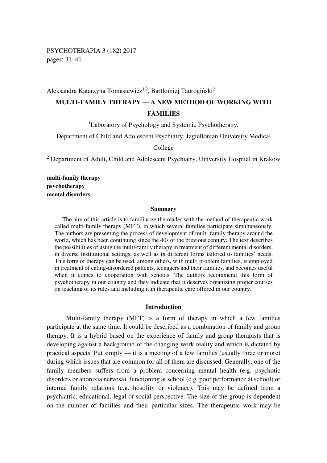PSYCHOTERAPIA 3 (182) 2017 pages: 31–41

## Aleksandra Katarzyna Tomasiewicz<sup>1,2</sup>, Bartłomiej Taurogiński<sup>2</sup>

# **MULTI-FAMILY THERAPY — A NEW METHOD OF WORKING WITH FAMILIES**

<sup>1</sup>Laboratory of Psychology and Systemic Psychotherapy,

Department of Child and Adolescent Psychiatry, Jagiellonian University Medical

College

<sup>2</sup> Department of Adult, Child and Adolescent Psychiatry, University Hospital in Krakow

**multi-family therapy psychotherapy mental disorders**

#### **Summary**

The aim of this article is to familiarize the reader with the method of therapeutic work called multi-family therapy (MFT), in which several families participate simultaneously. The authors are presenting the process of development of multi-family therapy around the world, which has been continuing since the 40s of the previous century. The text describes the possibilities of using the multi-family therapy in treatment of different mental disorders, in diverse institutional settings, as well as in different forms tailored to families' needs. This form of therapy can be used, among others, with multi problem families, is employed in treatment of eating-disordered patients, teenagers and their families, and becomes useful when it comes to cooperation with schools. The authors recommend this form of psychotherapy in our country and they indicate that it deserves organizing proper courses on teaching of its rules and including it in therapeutic care offered in our country.

#### **Introduction**

Multi-family therapy (MFT) is a form of therapy in which a few families participate at the same time. It could be described as a combination of family and group therapy. It is a hybrid based on the experience of family and group therapists that is developing against a background of the changing work reality and which is dictated by practical aspects. Put simply — it is a meeting of a few families (usually three or more) during which issues that are common for all of them are discussed. Generally, one of the family members suffers from a problem concerning mental health (e.g. psychotic disorders or anorexia nervosa), functioning at school (e.g. poor performance at school) or internal family relations (e.g. hostility or violence). This may be defined from a psychiatric, educational, legal or social perspective. The size of the group is dependent on the number of families and their particular sizes. The therapeutic work may be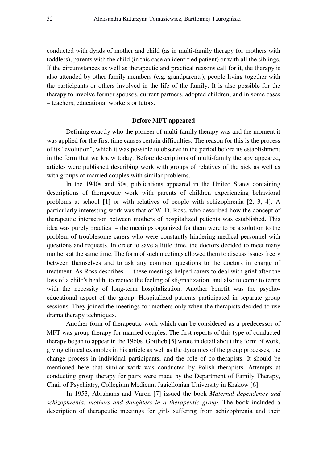conducted with dyads of mother and child (as in multi-family therapy for mothers with toddlers), parents with the child (in this case an identified patient) or with all the siblings. If the circumstances as well as therapeutic and practical reasons call for it, the therapy is also attended by other family members (e.g. grandparents), people living together with the participants or others involved in the life of the family. It is also possible for the therapy to involve former spouses, current partners, adopted children, and in some cases – teachers, educational workers or tutors.

### **Before MFT appeared**

Defining exactly who the pioneer of multi-family therapy was and the moment it was applied for the first time causes certain difficulties. The reason for this is the process of its "evolution", which it was possible to observe in the period before its establishment in the form that we know today. Before descriptions of multi-family therapy appeared, articles were published describing work with groups of relatives of the sick as well as with groups of married couples with similar problems.

In the 1940s and 50s, publications appeared in the United States containing descriptions of therapeutic work with parents of children experiencing behavioral problems at school [1] or with relatives of people with schizophrenia [2, 3, 4]. A particularly interesting work was that of W. D. Ross, who described how the concept of therapeutic interaction between mothers of hospitalized patients was established. This idea was purely practical – the meetings organized for them were to be a solution to the problem of troublesome carers who were constantly hindering medical personnel with questions and requests. In order to save a little time, the doctors decided to meet many mothers at the same time. The form of such meetings allowed them to discuss issues freely between themselves and to ask any common questions to the doctors in charge of treatment. As Ross describes — these meetings helped carers to deal with grief after the loss of a child's health, to reduce the feeling of stigmatization, and also to come to terms with the necessity of long-term hospitalization. Another benefit was the psychoeducational aspect of the group. Hospitalized patients participated in separate group sessions. They joined the meetings for mothers only when the therapists decided to use drama therapy techniques.

Another form of therapeutic work which can be considered as a predecessor of MFT was group therapy for married couples. The first reports of this type of conducted therapy began to appear in the 1960s. Gottlieb [5] wrote in detail about this form of work, giving clinical examples in his article as well as the dynamics of the group processes, the change process in individual participants, and the role of co-therapists. It should be mentioned here that similar work was conducted by Polish therapists. Attempts at conducting group therapy for pairs were made by the Department of Family Therapy, Chair of Psychiatry, Collegium Medicum Jagiellonian University in Krakow [6].

In 1953, Abrahams and Varon [7] issued the book *Maternal dependency and schizophrenia: mothers and daughters in a therapeutic group*. The book included a description of therapeutic meetings for girls suffering from schizophrenia and their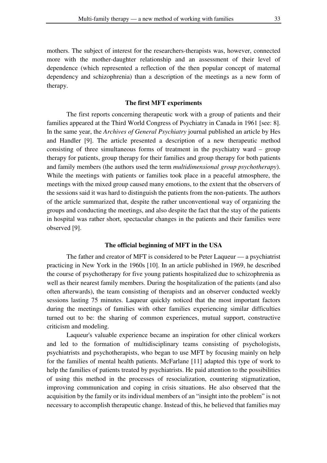mothers. The subject of interest for the researchers-therapists was, however, connected more with the mother-daughter relationship and an assessment of their level of dependence (which represented a reflection of the then popular concept of maternal dependency and schizophrenia) than a description of the meetings as a new form of therapy.

### **The first MFT experiments**

The first reports concerning therapeutic work with a group of patients and their families appeared at the Third World Congress of Psychiatry in Canada in 1961 [see: 8]. In the same year, the *Archives of General Psychiatry* journal published an article by Hes and Handler [9]. The article presented a description of a new therapeutic method consisting of three simultaneous forms of treatment in the psychiatry ward – group therapy for patients, group therapy for their families and group therapy for both patients and family members (the authors used the term *multidimensional group psychotherapy*). While the meetings with patients or families took place in a peaceful atmosphere, the meetings with the mixed group caused many emotions, to the extent that the observers of the sessions said it was hard to distinguish the patients from the non-patients. The authors of the article summarized that, despite the rather unconventional way of organizing the groups and conducting the meetings, and also despite the fact that the stay of the patients in hospital was rather short, spectacular changes in the patients and their families were observed [9].

#### **The official beginning of MFT in the USA**

The father and creator of MFT is considered to be Peter Laqueur — a psychiatrist practicing in New York in the 1960s [10]. In an article published in 1969, he described the course of psychotherapy for five young patients hospitalized due to schizophrenia as well as their nearest family members. During the hospitalization of the patients (and also often afterwards), the team consisting of therapists and an observer conducted weekly sessions lasting 75 minutes. Laqueur quickly noticed that the most important factors during the meetings of families with other families experiencing similar difficulties turned out to be: the sharing of common experiences, mutual support, constructive criticism and modeling.

Laqueur's valuable experience became an inspiration for other clinical workers and led to the formation of multidisciplinary teams consisting of psychologists, psychiatrists and psychotherapists, who began to use MFT by focusing mainly on help for the families of mental health patients. McFarlane [11] adapted this type of work to help the families of patients treated by psychiatrists. He paid attention to the possibilities of using this method in the processes of resocialization, countering stigmatization, improving communication and coping in crisis situations. He also observed that the acquisition by the family or its individual members of an "insight into the problem" is not necessary to accomplish therapeutic change. Instead of this, he believed that families may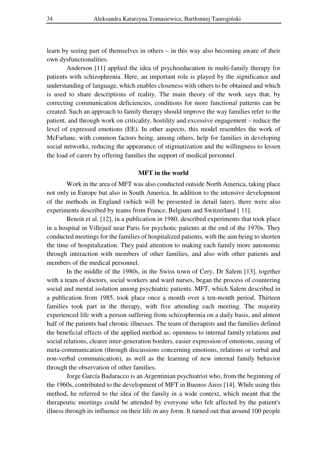learn by seeing part of themselves in others – in this way also becoming aware of their own dysfunctionalities.

Anderson [11] applied the idea of psychoeducation in multi-family therapy for patients with schizophrenia. Here, an important role is played by the significance and understanding of language, which enables closeness with others to be obtained and which is used to share descriptions of reality. The main theory of the work says that, by correcting communication deficiencies, conditions for more functional patterns can be created. Such an approach to family therapy should improve the way families refer to the patient, and through work on criticality, hostility and excessive engagement – reduce the level of expressed emotions (EE). In other aspects, this model resembles the work of McFarlane, with common factors being, among others, help for families in developing social networks, reducing the appearance of stigmatization and the willingness to lessen the load of carers by offering families the support of medical personnel.

#### **MFT in the world**

Work in the area of MFT was also conducted outside North America, taking place not only in Europe but also in South America. In addition to the intensive development of the methods in England (which will be presented in detail later), there were also experiments described by teams from France, Belgium and Switzerland [11].

Benoit et al. [12], in a publication in 1980, described experiments that took place in a hospital in Villejuif near Paris for psychotic patients at the end of the 1970s. They conducted meetings for the families of hospitalized patients, with the aim being to shorten the time of hospitalization. They paid attention to making each family more autonomic through interaction with members of other families, and also with other patients and members of the medical personnel.

In the middle of the 1980s, in the Swiss town of Cery, Dr Salem [13], together with a team of doctors, social workers and ward nurses, began the process of countering social and mental isolation among psychiatric patients. MFT, which Salem described in a publication from 1985, took place once a month over a ten-month period. Thirteen families took part in the therapy, with five attending each meeting. The majority experienced life with a person suffering from schizophrenia on a daily basis, and almost half of the patients had chronic illnesses. The team of therapists and the families defined the beneficial effects of the applied method as: openness to internal family relations and social relations, clearer inter-generation borders, easier expression of emotions, easing of meta-communication (through discussions concerning emotions, relations or verbal and non-verbal communication), as well as the learning of new internal family behavior through the observation of other families.

Jorge García Badaracco is an Argentinian psychiatrist who, from the beginning of the 1960s, contributed to the development of MFT in Buenos Aires [14]. While using this method, he referred to the idea of the family in a wide context, which meant that the therapeutic meetings could be attended by everyone who felt affected by the patient's illness through its influence on their life in any form. It turned out that around 100 people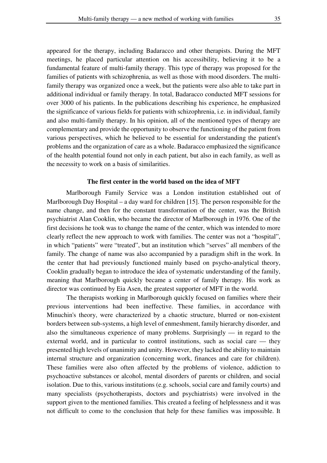appeared for the therapy, including Badaracco and other therapists. During the MFT meetings, he placed particular attention on his accessibility, believing it to be a fundamental feature of multi-family therapy. This type of therapy was proposed for the families of patients with schizophrenia, as well as those with mood disorders. The multifamily therapy was organized once a week, but the patients were also able to take part in additional individual or family therapy. In total, Badaracco conducted MFT sessions for over 3000 of his patients. In the publications describing his experience, he emphasized the significance of various fields for patients with schizophrenia, i.e. in individual, family and also multi-family therapy. In his opinion, all of the mentioned types of therapy are complementary and provide the opportunity to observe the functioning of the patient from various perspectives, which he believed to be essential for understanding the patient's problems and the organization of care as a whole. Badaracco emphasized the significance of the health potential found not only in each patient, but also in each family, as well as the necessity to work on a basis of similarities.

#### **The first center in the world based on the idea of MFT**

Marlborough Family Service was a London institution established out of Marlborough Day Hospital – a day ward for children [15]. The person responsible for the name change, and then for the constant transformation of the center, was the British psychiatrist Alan Cooklin, who became the director of Marlborough in 1976. One of the first decisions he took was to change the name of the center, which was intended to more clearly reflect the new approach to work with families. The center was not a "hospital", in which "patients" were "treated", but an institution which "serves" all members of the family. The change of name was also accompanied by a paradigm shift in the work. In the center that had previously functioned mainly based on psycho-analytical theory, Cooklin gradually began to introduce the idea of systematic understanding of the family, meaning that Marlborough quickly became a center of family therapy. His work as director was continued by Eia Asen, the greatest supporter of MFT in the world.

The therapists working in Marlborough quickly focused on families where their previous interventions had been ineffective. These families, in accordance with Minuchin's theory, were characterized by a chaotic structure, blurred or non-existent borders between sub-systems, a high level of enmeshment, family hierarchy disorder, and also the simultaneous experience of many problems. Surprisingly — in regard to the external world, and in particular to control institutions, such as social care — they presented high levels of unanimity and unity. However, they lacked the ability to maintain internal structure and organization (concerning work, finances and care for children). These families were also often affected by the problems of violence, addiction to psychoactive substances or alcohol, mental disorders of parents or children, and social isolation. Due to this, various institutions (e.g. schools, social care and family courts) and many specialists (psychotherapists, doctors and psychiatrists) were involved in the support given to the mentioned families. This created a feeling of helplessness and it was not difficult to come to the conclusion that help for these families was impossible. It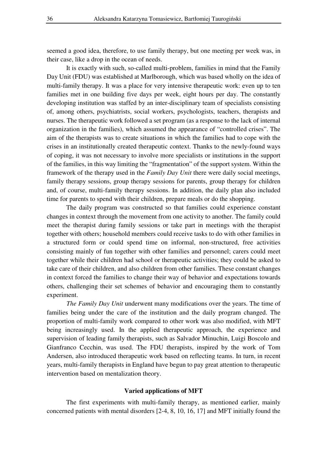seemed a good idea, therefore, to use family therapy, but one meeting per week was, in their case, like a drop in the ocean of needs.

It is exactly with such, so-called multi-problem, families in mind that the Family Day Unit (FDU) was established at Marlborough, which was based wholly on the idea of multi-family therapy. It was a place for very intensive therapeutic work: even up to ten families met in one building five days per week, eight hours per day. The constantly developing institution was staffed by an inter-disciplinary team of specialists consisting of, among others, psychiatrists, social workers, psychologists, teachers, therapists and nurses. The therapeutic work followed a set program (as a response to the lack of internal organization in the families), which assumed the appearance of "controlled crises". The aim of the therapists was to create situations in which the families had to cope with the crises in an institutionally created therapeutic context. Thanks to the newly-found ways of coping, it was not necessary to involve more specialists or institutions in the support of the families, in this way limiting the "fragmentation" of the support system. Within the framework of the therapy used in the *Family Day Unit* there were daily social meetings, family therapy sessions, group therapy sessions for parents, group therapy for children and, of course, multi-family therapy sessions. In addition, the daily plan also included time for parents to spend with their children, prepare meals or do the shopping.

The daily program was constructed so that families could experience constant changes in context through the movement from one activity to another. The family could meet the therapist during family sessions or take part in meetings with the therapist together with others; household members could receive tasks to do with other families in a structured form or could spend time on informal, non-structured, free activities consisting mainly of fun together with other families and personnel; carers could meet together while their children had school or therapeutic activities; they could be asked to take care of their children, and also children from other families. These constant changes in context forced the families to change their way of behavior and expectations towards others, challenging their set schemes of behavior and encouraging them to constantly experiment.

*The Family Day Unit* underwent many modifications over the years. The time of families being under the care of the institution and the daily program changed. The proportion of multi-family work compared to other work was also modified, with MFT being increasingly used. In the applied therapeutic approach, the experience and supervision of leading family therapists, such as Salvador Minuchin, Luigi Boscolo and Gianfranco Cecchin, was used. The FDU therapists, inspired by the work of Tom Andersen, also introduced therapeutic work based on reflecting teams. In turn, in recent years, multi-family therapists in England have begun to pay great attention to therapeutic intervention based on mentalization theory.

### **Varied applications of MFT**

The first experiments with multi-family therapy, as mentioned earlier, mainly concerned patients with mental disorders [2-4, 8, 10, 16, 17] and MFT initially found the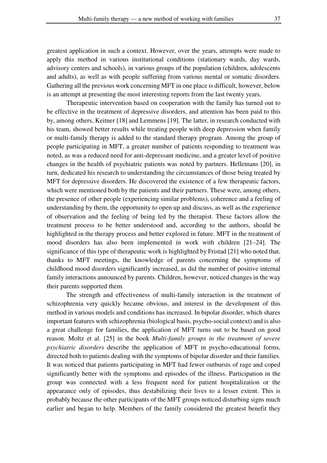greatest application in such a context. However, over the years, attempts were made to apply this method in various institutional conditions (stationary wards, day wards, advisory centers and schools), in various groups of the population (children, adolescents and adults), as well as with people suffering from various mental or somatic disorders. Gathering all the previous work concerning MFT in one place is difficult, however, below is an attempt at presenting the most interesting reports from the last twenty years.

Therapeutic intervention based on cooperation with the family has turned out to be effective in the treatment of depressive disorders, and attention has been paid to this by, among others, Keitner [18] and Lemmens [19]. The latter, in research conducted with his team, showed better results while treating people with deep depression when family or multi-family therapy is added to the standard therapy program. Among the group of people participating in MFT, a greater number of patients responding to treatment was noted, as was a reduced need for anti-depressant medicine, and a greater level of positive changes in the health of psychiatric patients was noted by partners. Hellemans [20], in turn, dedicated his research to understanding the circumstances of those being treated by MFT for depressive disorders. He discovered the existence of a few therapeutic factors, which were mentioned both by the patients and their partners. These were, among others, the presence of other people (experiencing similar problems), coherence and a feeling of understanding by them, the opportunity to open up and discuss, as well as the experience of observation and the feeling of being led by the therapist. These factors allow the treatment process to be better understood and, according to the authors, should be highlighted in the therapy process and better explored in future. MFT in the treatment of mood disorders has also been implemented in work with children [21–24]. The significance of this type of therapeutic work is highlighted by Fristad [21] who noted that, thanks to MFT meetings, the knowledge of parents concerning the symptoms of childhood mood disorders significantly increased, as did the number of positive internal family interactions announced by parents. Children, however, noticed changes in the way their parents supported them.

The strength and effectiveness of multi-family interaction in the treatment of schizophrenia very quickly became obvious, and interest in the development of this method in various models and conditions has increased. In bipolar disorder, which shares important features with schizophrenia (biological basis, psycho-social context) and is also a great challenge for families, the application of MFT turns out to be based on good reason. Moltz et al. [25] in the book *Multi-family groups in the treatment of severe psychiatric disorders* describe the application of MFT in psycho-educational forms, directed both to patients dealing with the symptoms of bipolar disorder and their families. It was noticed that patients participating in MFT had fewer outbursts of rage and coped significantly better with the symptoms and episodes of the illness. Participation in the group was connected with a less frequent need for patient hospitalization or the appearance only of episodes, thus destabilizing their lives to a lesser extent. This is probably because the other participants of the MFT groups noticed disturbing signs much earlier and began to help. Members of the family considered the greatest benefit they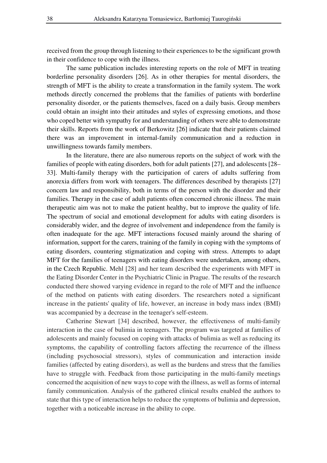received from the group through listening to their experiences to be the significant growth in their confidence to cope with the illness.

The same publication includes interesting reports on the role of MFT in treating borderline personality disorders [26]. As in other therapies for mental disorders, the strength of MFT is the ability to create a transformation in the family system. The work methods directly concerned the problems that the families of patients with borderline personality disorder, or the patients themselves, faced on a daily basis. Group members could obtain an insight into their attitudes and styles of expressing emotions, and those who coped better with sympathy for and understanding of others were able to demonstrate their skills. Reports from the work of Berkowitz [26] indicate that their patients claimed there was an improvement in internal-family communication and a reduction in unwillingness towards family members.

In the literature, there are also numerous reports on the subject of work with the families of people with eating disorders, both for adult patients [27], and adolescents [28– 33]. Multi-family therapy with the participation of carers of adults suffering from anorexia differs from work with teenagers. The differences described by therapists [27] concern law and responsibility, both in terms of the person with the disorder and their families. Therapy in the case of adult patients often concerned chronic illness. The main therapeutic aim was not to make the patient healthy, but to improve the quality of life. The spectrum of social and emotional development for adults with eating disorders is considerably wider, and the degree of involvement and independence from the family is often inadequate for the age. MFT interactions focused mainly around the sharing of information, support for the carers, training of the family in coping with the symptoms of eating disorders, countering stigmatization and coping with stress. Attempts to adapt MFT for the families of teenagers with eating disorders were undertaken, among others, in the Czech Republic. Mehl [28] and her team described the experiments with MFT in the Eating Disorder Center in the Psychiatric Clinic in Prague. The results of the research conducted there showed varying evidence in regard to the role of MFT and the influence of the method on patients with eating disorders. The researchers noted a significant increase in the patients' quality of life, however, an increase in body mass index (BMI) was accompanied by a decrease in the teenager's self-esteem.

Catherine Stewart [34] described, however, the effectiveness of multi-family interaction in the case of bulimia in teenagers. The program was targeted at families of adolescents and mainly focused on coping with attacks of bulimia as well as reducing its symptoms, the capability of controlling factors affecting the recurrence of the illness (including psychosocial stressors), styles of communication and interaction inside families (affected by eating disorders), as well as the burdens and stress that the families have to struggle with. Feedback from those participating in the multi-family meetings concerned the acquisition of new ways to cope with the illness, as well as forms of internal family communication. Analysis of the gathered clinical results enabled the authors to state that this type of interaction helps to reduce the symptoms of bulimia and depression, together with a noticeable increase in the ability to cope.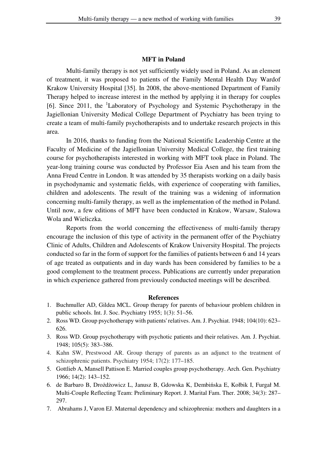#### **MFT in Poland**

Multi-family therapy is not yet sufficiently widely used in Poland. As an element of treatment, it was proposed to patients of the Family Mental Health Day Wardof Krakow University Hospital [35]. In 2008, the above-mentioned Department of Family Therapy helped to increase interest in the method by applying it in therapy for couples [6]. Since 2011, the <sup>1</sup>Laboratory of Psychology and Systemic Psychotherapy in the Jagiellonian University Medical College Department of Psychiatry has been trying to create a team of multi-family psychotherapists and to undertake research projects in this area.

In 2016, thanks to funding from the National Scientific Leadership Centre at the Faculty of Medicine of the Jagiellonian University Medical College, the first training course for psychotherapists interested in working with MFT took place in Poland. The year-long training course was conducted by Professor Eia Asen and his team from the Anna Freud Centre in London. It was attended by 35 therapists working on a daily basis in psychodynamic and systematic fields, with experience of cooperating with families, children and adolescents. The result of the training was a widening of information concerning multi-family therapy, as well as the implementation of the method in Poland. Until now, a few editions of MFT have been conducted in Krakow, Warsaw, Stalowa Wola and Wieliczka.

Reports from the world concerning the effectiveness of multi-family therapy encourage the inclusion of this type of activity in the permanent offer of the Psychiatry Clinic of Adults, Children and Adolescents of Krakow University Hospital. The projects conducted so far in the form of support for the families of patients between 6 and 14 years of age treated as outpatients and in day wards has been considered by families to be a good complement to the treatment process. Publications are currently under preparation in which experience gathered from previously conducted meetings will be described.

### **References**

- 1. Buchmuller AD, Gildea MCL. Group therapy for parents of behaviour problem children in public schools. Int. J. Soc. Psychiatry 1955; 1(3): 51–56.
- 2. Ross WD. Group psychotherapy with patients' relatives. Am. J. Psychiat. 1948; 104(10): 623– 626.
- 3. Ross WD. Group psychotherapy with psychotic patients and their relatives. Am. J. Psychiat. 1948; 105(5): 383–386.
- 4. Kahn SW, Prestwood AR. Group therapy of parents as an adjunct to the treatment of schizophrenic patients. Psychiatry 1954; 17(2): 177–185.
- 5. Gottlieb A, Mansell Pattison E. Married couples group psychotherapy. Arch. Gen. Psychiatry 1966; 14(2): 143–152.
- 6. de Barbaro B, Drożdżowicz L, Janusz B, Gdowska K, Dembińska E, Kołbik I, Furgał M. Multi-Couple Reflecting Team: Preliminary Report. J. Marital Fam. Ther. 2008; 34(3): 287– 297.
- 7. Abrahams J, Varon EJ. Maternal dependency and schizophrenia: mothers and daughters in a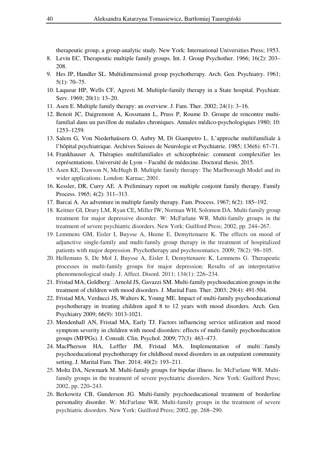therapeutic group, a group-analytic study. New York: International Universities Press; 1953.

- 8. Levin EC. Therapeutic multiple family groups. Int. J. Group Psychother. 1966; 16(2): 203– 208.
- 9. Hes JP, Handler SL. Multidimensional group psychotherapy. Arch. Gen. Psychiatry. 1961; 5(1): 70–75.
- 10. Laqueur HP, Wells CF, Agresti M. Multiple-family therapy in a State hospital. Psychiatr. Serv. 1969; 20(1): 13–20.
- 11. Asen E. Multiple family therapy: an overview. J. Fam. Ther. 2002; 24(1): 3–16.
- 12. Benoit JC, Daigremont A, Kossmann L, Pruss P, Roume D. Groupe de rencontre multifamilial dans un pavillon de malades chroniques. Annales médico-psychologiques 1980; 10: 1253–1259.
- 13. Salem G, Von Niederhaüsern O, Aubry M, Di Giampetro L. L'approche multifamiliale à l'hôpital psychiatrique. Archives Suisses de Neurologie et Psychiatrie. 1985; 136(6): 67–71.
- 14. Frankhauser A. Thérapies multifamiliales et schizophrénie: comment complexifier les représentations. Université de Lyon – Faculté de médecine. Doctoral thesis. 2015.
- 15. Asen KE, Dawson N, McHugh B. Multiple family therapy: The Marlborough Model and its wider applications. London: Karnac; 2001.
- 16. Kessler, DR, Curry AE. A Preliminary report on multiple conjoint family therapy. Family Process. 1965; 4(2): 311–313.
- 17. Barcai A. An adventure in multiple family therapy. Fam. Process. 1967; 6(2): 185–192.
- 18. Keitner GI, Drury LM, Ryan CE, Miller IW, Norman WH, Solomon DA. Multi-family group treatment for major depressive disorder. W: McFarlane WR. Multi-family groups in the treatment of severe psychiatric disorders. New York: Guilford Press; 2002, pp. 244–267.
- 19. Lemmens GM, Eisler I, Buysse A, Heene E, Demyttenaere K. The effects on mood of adjunctive single-family and multi-family group therapy in the treatment of hospitalized patients with major depression. Psychotherapy and psychosomatics. 2009; 78(2): 98–105.
- 20. Hellemans S, De Mol J, Buysse A, Eisler I, Demyttenaere K, Lemmens G. Therapeutic processes in multi-family groups for major depression: Results of an interpretative phenomenological study. J. Affect. Disord. 2011; 134(1): 226–234.
- 21. Fristad MA, Goldberg□Arnold JS, Gavazzi SM. Multi-family psychoeducation groups in the treatment of children with mood disorders. J. Marital Fam. Ther. 2003; 29(4): 491-504.
- 22. Fristad MA, Verducci JS, Walters K, Young ME. Impact of multi-family psychoeducational psychotherapy in treating children aged 8 to 12 years with mood disorders. Arch. Gen. Psychiatry 2009; 66(9): 1013-1021.
- 23. Mendenhall AN, Fristad MA, Early TJ. Factors influencing service utilization and mood symptom severity in children with mood disorders: effects of multi-family psychoeducation groups (MFPGs). J. Consult. Clin. Psychol. 2009; 77(3): 463–473.
- 24. MacPherson HA, Leffler JM, Fristad MA. Implementation of multi $\Box$ family psychoeducational psychotherapy for childhood mood disorders in an outpatient community setting. J. Marital Fam. Ther. 2014; 40(2): 193–211.
- 25. Moltz DA, Newmark M. Multi-family groups for bipolar illness. In: McFarlane WR. Multifamily groups in the treatment of severe psychiatric disorders. New York: Guilford Press; 2002, pp. 220–243.
- 26. Berkowitz CB, Gunderson JG. Multi-family psychoeducational treatment of borderline personality disorder. W: McFarlane WR. Multi-family groups in the treatment of severe psychiatric disorders. New York: Guilford Press; 2002, pp. 268–290.